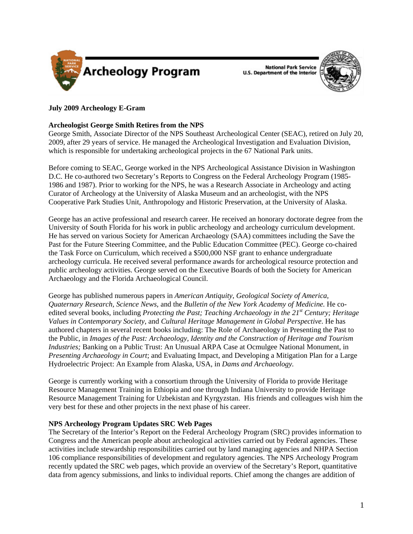

**National Park Service U.S. Department of the Interior** 



# **July 2009 Archeology E-Gram**

## **Archeologist George Smith Retires from the NPS**

George Smith, Associate Director of the NPS Southeast Archeological Center (SEAC), retired on July 20, 2009, after 29 years of service. He managed the Archeological Investigation and Evaluation Division, which is responsible for undertaking archeological projects in the 67 National Park units.

Before coming to SEAC, George worked in the NPS Archeological Assistance Division in Washington D.C. He co-authored two Secretary's Reports to Congress on the Federal Archeology Program (1985- 1986 and 1987). Prior to working for the NPS, he was a Research Associate in Archeology and acting Curator of Archeology at the University of Alaska Museum and an archeologist, with the NPS Cooperative Park Studies Unit, Anthropology and Historic Preservation, at the University of Alaska.

George has an active professional and research career. He received an honorary doctorate degree from the University of South Florida for his work in public archeology and archeology curriculum development. He has served on various Society for American Archaeology (SAA) committees including the Save the Past for the Future Steering Committee, and the Public Education Committee (PEC). George co-chaired the Task Force on Curriculum, which received a \$500,000 NSF grant to enhance undergraduate archeology curricula. He received several performance awards for archeological resource protection and public archeology activities. George served on the Executive Boards of both the Society for American Archaeology and the Florida Archaeological Council.

George has published numerous papers in *American Antiquity*, *Geological Society of America, Quaternary Research, Science News,* and the *Bulletin of the New York Academy of Medicine.* He coedited several books, including *Protecting the Past; Teaching Archaeology in the 21st Century; Heritage Values in Contemporary Society*, and *Cultural Heritage Management in Global Perspective*. He has authored chapters in several recent books including: The Role of Archaeology in Presenting the Past to the Public, in *Images of the Past: Archaeology, Identity and the Construction of Heritage and Tourism Industries; Banking on a Public Trust: An Unusual ARPA Case at Ocmulgee National Monument, in Presenting Archaeology in Court*; and Evaluating Impact, and Developing a Mitigation Plan for a Large Hydroelectric Project: An Example from Alaska, USA, in *Dams and Archaeology.* 

George is currently working with a consortium through the University of Florida to provide Heritage Resource Management Training in Ethiopia and one through Indiana University to provide Heritage Resource Management Training for Uzbekistan and Kyrgyzstan. His friends and colleagues wish him the very best for these and other projects in the next phase of his career.

### **NPS Archeology Program Updates SRC Web Pages**

The Secretary of the Interior's Report on the Federal Archeology Program (SRC) provides information to Congress and the American people about archeological activities carried out by Federal agencies. These activities include stewardship responsibilities carried out by land managing agencies and NHPA Section 106 compliance responsibilities of development and regulatory agencies. The NPS Archeology Program recently updated the SRC web pages, which provide an overview of the Secretary's Report, quantitative data from agency submissions, and links to individual reports. Chief among the changes are addition of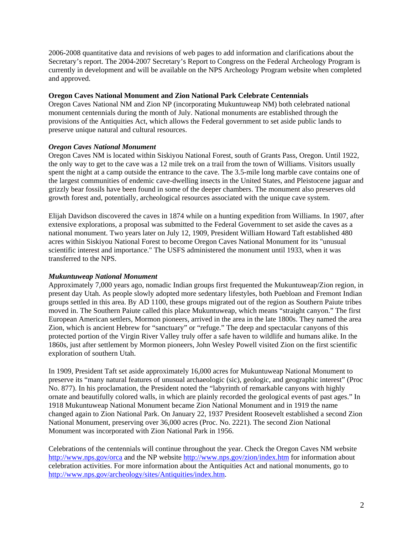2006-2008 quantitative data and revisions of web pages to add information and clarifications about the Secretary's report. The 2004-2007 Secretary's Report to Congress on the Federal Archeology Program is currently in development and will be available on the NPS Archeology Program website when completed and approved.

### **Oregon Caves National Monument and Zion National Park Celebrate Centennials**

Oregon Caves National NM and Zion NP (incorporating Mukuntuweap NM) both celebrated national monument centennials during the month of July. National monuments are established through the provisions of the Antiquities Act, which allows the Federal government to set aside public lands to preserve unique natural and cultural resources.

### *Oregon Caves National Monument*

Oregon Caves NM is located within Siskiyou National Forest, south of Grants Pass, Oregon. Until 1922, the only way to get to the cave was a 12 mile trek on a trail from the town of Williams. Visitors usually spent the night at a camp outside the entrance to the cave. The 3.5-mile long marble cave contains one of the largest communities of endemic cave-dwelling insects in the United States, and Pleistocene jaguar and grizzly bear fossils have been found in some of the deeper chambers. The monument also preserves old growth forest and, potentially, archeological resources associated with the unique cave system.

Elijah Davidson discovered the caves in 1874 while on a hunting expedition from Williams. In 1907, after extensive explorations, a proposal was submitted to the Federal Government to set aside the caves as a national monument. Two years later on July 12, 1909, President William Howard Taft established 480 acres within Siskiyou National Forest to become Oregon Caves National Monument for its "unusual scientific interest and importance." The USFS administered the monument until 1933, when it was transferred to the NPS.

### *Mukuntuweap National Monument*

Approximately 7,000 years ago, nomadic Indian groups first frequented the Mukuntuweap/Zion region, in present day Utah. As people slowly adopted more sedentary lifestyles, both Puebloan and Fremont Indian groups settled in this area. By AD 1100, these groups migrated out of the region as Southern Paiute tribes moved in. The Southern Paiute called this place Mukuntuweap, which means "straight canyon." The first European American settlers, Mormon pioneers, arrived in the area in the late 1800s. They named the area Zion, which is ancient Hebrew for "sanctuary" or "refuge." The deep and spectacular canyons of this protected portion of the Virgin River Valley truly offer a safe haven to wildlife and humans alike. In the 1860s, just after settlement by Mormon pioneers, John Wesley Powell visited Zion on the first scientific exploration of southern Utah.

In 1909, President Taft set aside approximately 16,000 acres for Mukuntuweap National Monument to preserve its "many natural features of unusual archaeologic (sic), geologic, and geographic interest" (Proc No. 877). In his proclamation, the President noted the "labyrinth of remarkable canyons with highly ornate and beautifully colored walls, in which are plainly recorded the geological events of past ages." In 1918 Mukuntuweap National Monument became Zion National Monument and in 1919 the name changed again to Zion National Park. On January 22, 1937 President Roosevelt established a second Zion National Monument, preserving over 36,000 acres (Proc. No. 2221). The second Zion National Monument was incorporated with Zion National Park in 1956.

Celebrations of the centennials will continue throughout the year. Check the Oregon Caves NM website <http://www.nps.gov/orca> and the NP website<http://www.nps.gov/zion/index.htm>for information about celebration activities. For more information about the Antiquities Act and national monuments, go to <http://www.nps.gov/archeology/sites/Antiquities/index.htm>.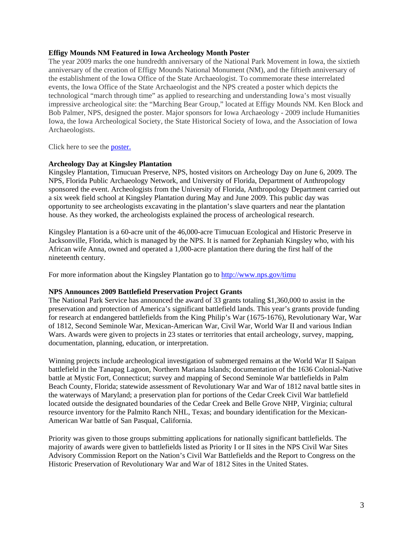#### **Effigy Mounds NM Featured in Iowa Archeology Month Poster**

The year 2009 marks the one hundredth anniversary of the National Park Movement in Iowa, the sixtieth anniversary of the creation of Effigy Mounds National Monument (NM), and the fiftieth anniversary of the establishment of the Iowa Office of the State Archaeologist. To commemorate these interrelated events, the Iowa Office of the State Archaeologist and the NPS created a poster which depicts the technological "march through time" as applied to researching and understanding Iowa's most visually impressive archeological site: the "Marching Bear Group," located at Effigy Mounds NM. Ken Block and Bob Palmer, NPS, designed the poster. Major sponsors for Iowa Archaeology - 2009 include Humanities Iowa, the Iowa Archeological Society, the State Historical Society of Iowa, and the Association of Iowa Archaeologists.

Click here to see the [poster](http://www.nps.gov/archeology/pubs/egrams/2009IowaPoster.pdf).

#### **Archeology Day at Kingsley Plantation**

Kingsley Plantation, Timucuan Preserve, NPS, hosted visitors on Archeology Day on June 6, 2009. The NPS, Florida Public Archaeology Network, and University of Florida, Department of Anthropology sponsored the event. Archeologists from the University of Florida, Anthropology Department carried out a six week field school at Kingsley Plantation during May and June 2009. This public day was opportunity to see archeologists excavating in the plantation's slave quarters and near the plantation house. As they worked, the archeologists explained the process of archeological research.

Kingsley Plantation is a 60-acre unit of the 46,000-acre Timucuan Ecological and Historic Preserve in Jacksonville, Florida, which is managed by the NPS. It is named for Zephaniah Kingsley who, with his African wife Anna, owned and operated a 1,000-acre plantation there during the first half of the nineteenth century.

For more information about the Kingsley Plantation go to<http://www.nps.gov/timu>

#### **NPS Announces 2009 Battlefield Preservation Project Grants**

The National Park Service has announced the award of 33 grants totaling \$1,360,000 to assist in the preservation and protection of America's significant battlefield lands. This year's grants provide funding for research at endangered battlefields from the King Philip's War (1675-1676), Revolutionary War, War of 1812, Second Seminole War, Mexican-American War, Civil War, World War II and various Indian Wars. Awards were given to projects in 23 states or territories that entail archeology, survey, mapping, documentation, planning, education, or interpretation.

Winning projects include archeological investigation of submerged remains at the World War II Saipan battlefield in the Tanapag Lagoon, Northern Mariana Islands; documentation of the 1636 Colonial-Native battle at Mystic Fort, Connecticut; survey and mapping of Second Seminole War battlefields in Palm Beach County, Florida; statewide assessment of Revolutionary War and War of 1812 naval battle sites in the waterways of Maryland; a preservation plan for portions of the Cedar Creek Civil War battlefield located outside the designated boundaries of the Cedar Creek and Belle Grove NHP, Virginia; cultural resource inventory for the Palmito Ranch NHL, Texas; and boundary identification for the Mexican-American War battle of San Pasqual, California.

Priority was given to those groups submitting applications for nationally significant battlefields. The majority of awards were given to battlefields listed as Priority I or II sites in the NPS Civil War Sites Advisory Commission Report on the Nation's Civil War Battlefields and the Report to Congress on the Historic Preservation of Revolutionary War and War of 1812 Sites in the United States.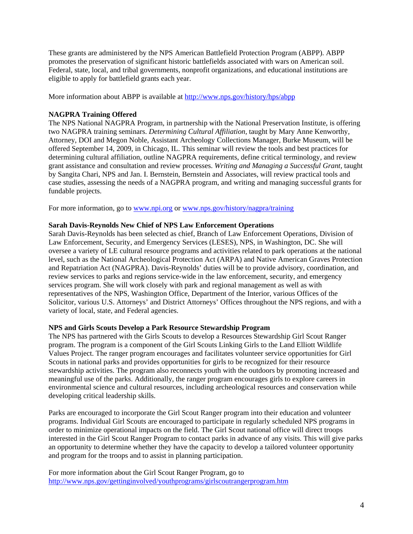These grants are administered by the NPS American Battlefield Protection Program (ABPP). ABPP promotes the preservation of significant historic battlefields associated with wars on American soil. Federal, state, local, and tribal governments, nonprofit organizations, and educational institutions are eligible to apply for battlefield grants each year.

More information about ABPP is available at <http://www.nps.gov/history/hps/abpp>

### **NAGPRA Training Offered**

The NPS National NAGPRA Program, in partnership with the National Preservation Institute, is offering two NAGPRA training seminars. *Determining Cultural Affiliation,* taught by Mary Anne Kenworthy, Attorney, DOI and Megon Noble, Assistant Archeology Collections Manager, Burke Museum, will be offered September 14, 2009, in Chicago, IL. This seminar will review the tools and best practices for determining cultural affiliation, outline NAGPRA requirements, define critical terminology, and review grant assistance and consultation and review processes. *Writing and Managing a Successful Grant,* taught by Sangita Chari, NPS and Jan. I. Bernstein, Bernstein and Associates, will review practical tools and case studies, assessing the needs of a NAGPRA program, and writing and managing successful grants for fundable projects.

For more information, go to <www.npi.org>or <www.nps.gov/history/nagpra/training>

### **Sarah Davis-Reynolds New Chief of NPS Law Enforcement Operations**

Sarah Davis-Reynolds has been selected as chief, Branch of Law Enforcement Operations, Division of Law Enforcement, Security, and Emergency Services (LESES), NPS, in Washington, DC. She will oversee a variety of LE cultural resource programs and activities related to park operations at the national level, such as the National Archeological Protection Act (ARPA) and Native American Graves Protection and Repatriation Act (NAGPRA). Davis-Reynolds' duties will be to provide advisory, coordination, and review services to parks and regions service-wide in the law enforcement, security, and emergency services program. She will work closely with park and regional management as well as with representatives of the NPS, Washington Office, Department of the Interior, various Offices of the Solicitor, various U.S. Attorneys' and District Attorneys' Offices throughout the NPS regions, and with a variety of local, state, and Federal agencies.

### **NPS and Girls Scouts Develop a Park Resource Stewardship Program**

The NPS has partnered with the Girls Scouts to develop a Resources Stewardship Girl Scout Ranger program. The program is a component of the Girl Scouts Linking Girls to the Land Elliott Wildlife Values Project. The ranger program encourages and facilitates volunteer service opportunities for Girl Scouts in national parks and provides opportunities for girls to be recognized for their resource stewardship activities. The program also reconnects youth with the outdoors by promoting increased and meaningful use of the parks. Additionally, the ranger program encourages girls to explore careers in environmental science and cultural resources, including archeological resources and conservation while developing critical leadership skills.

Parks are encouraged to incorporate the Girl Scout Ranger program into their education and volunteer programs. Individual Girl Scouts are encouraged to participate in regularly scheduled NPS programs in order to minimize operational impacts on the field. The Girl Scout national office will direct troops interested in the Girl Scout Ranger Program to contact parks in advance of any visits. This will give parks an opportunity to determine whether they have the capacity to develop a tailored volunteer opportunity and program for the troops and to assist in planning participation.

For more information about the Girl Scout Ranger Program, go to <http://www.nps.gov/gettinginvolved/youthprograms/girlscoutrangerprogram.htm>